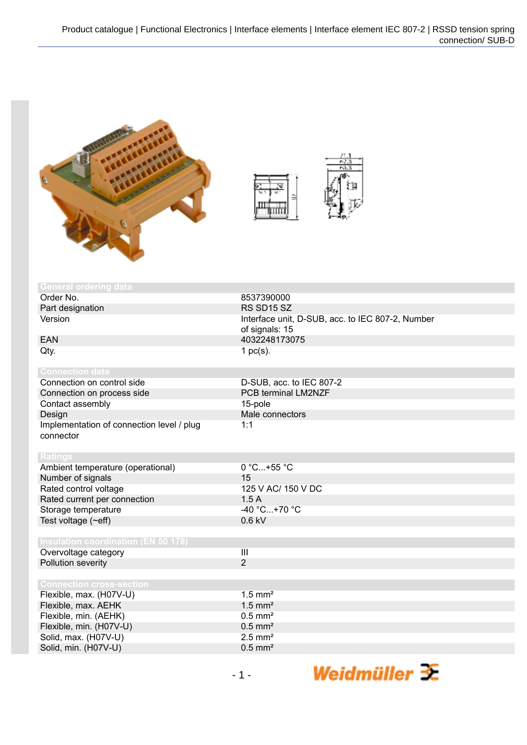



| <b>General ordering data</b>               |                                                  |
|--------------------------------------------|--------------------------------------------------|
| Order No.                                  | 8537390000                                       |
| Part designation                           | RS SD15 SZ                                       |
| Version                                    | Interface unit, D-SUB, acc. to IEC 807-2, Number |
|                                            | of signals: 15                                   |
| <b>EAN</b>                                 | 4032248173075                                    |
| Qty.                                       | 1 $pc(s)$ .                                      |
|                                            |                                                  |
| <b>Connection data</b>                     |                                                  |
| Connection on control side                 | D-SUB, acc. to IEC 807-2                         |
| Connection on process side                 | PCB terminal LM2NZF                              |
| Contact assembly                           | 15-pole                                          |
| Design                                     | Male connectors                                  |
| Implementation of connection level / plug  | 1:1                                              |
| connector                                  |                                                  |
|                                            |                                                  |
| <b>Ratings</b>                             |                                                  |
| Ambient temperature (operational)          | 0 °C+55 °C                                       |
| Number of signals                          | 15                                               |
| Rated control voltage                      | 125 V AC/ 150 V DC                               |
| Rated current per connection               | 1.5A                                             |
| Storage temperature                        | $-40 °C+70 °C$                                   |
| Test voltage (~eff)                        | $0.6$ kV                                         |
|                                            |                                                  |
| <b>Insulation coordination (EN 50 178)</b> |                                                  |
| Overvoltage category                       | $\overline{\mathbf{H}}$                          |
| Pollution severity                         | $\overline{2}$                                   |
|                                            |                                                  |
| <b>Connection cross-section</b>            |                                                  |
| Flexible, max. (H07V-U)                    | $1.5$ mm <sup>2</sup>                            |
| Flexible, max. AEHK                        | $1.5$ mm <sup>2</sup>                            |
| Flexible, min. (AEHK)                      | $0.5$ mm <sup>2</sup>                            |
| Flexible, min. (H07V-U)                    | $0.5$ mm <sup>2</sup>                            |
| Solid, max. (H07V-U)                       | $2.5$ mm <sup>2</sup>                            |
| Solid, min. (H07V-U)                       | $0.5$ mm <sup>2</sup>                            |

Weidmüller  $\mathcal{\mathcal{F}}$